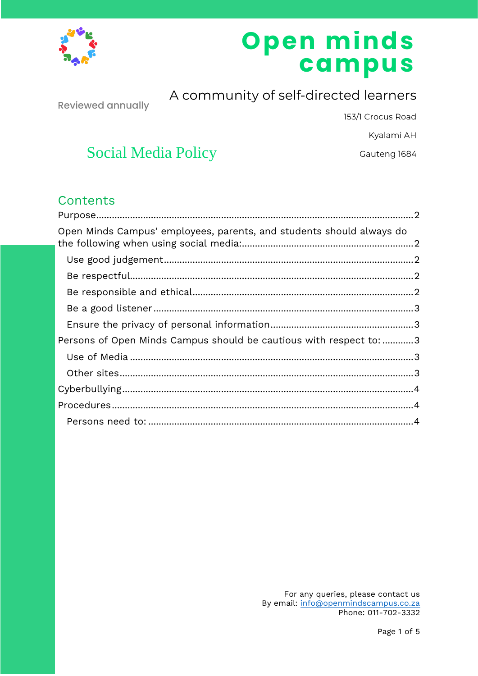

# Open minds<br>campus

**Reviewed annually** 

A community of self-directed learners

153/1 Crocus Road

Kyalami AH

Gauteng 1684

## **Social Media Policy**

## Contents

| Open Minds Campus' employees, parents, and students should always do |  |
|----------------------------------------------------------------------|--|
|                                                                      |  |
|                                                                      |  |
|                                                                      |  |
|                                                                      |  |
|                                                                      |  |
| Persons of Open Minds Campus should be cautious with respect to: 3   |  |
|                                                                      |  |
|                                                                      |  |
|                                                                      |  |
|                                                                      |  |
|                                                                      |  |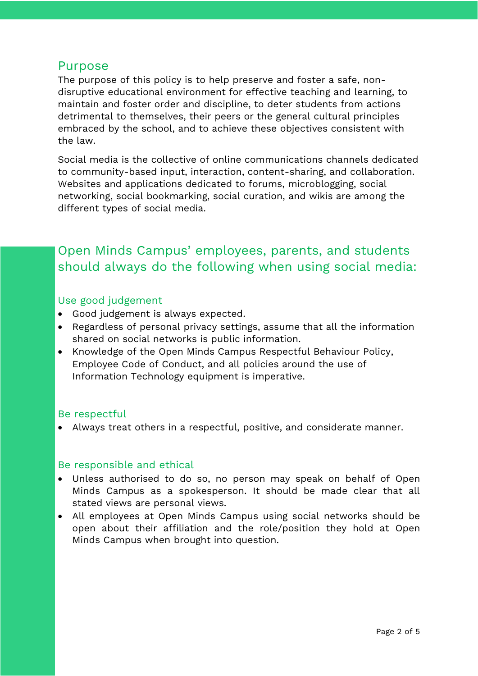#### <span id="page-1-0"></span>Purpose

The purpose of this policy is to help preserve and foster a safe, nondisruptive educational environment for effective teaching and learning, to maintain and foster order and discipline, to deter students from actions detrimental to themselves, their peers or the general cultural principles embraced by the school, and to achieve these objectives consistent with the law.

Social media is the collective of online communications channels dedicated to community-based input, interaction, content-sharing, and collaboration. Websites and applications dedicated to forums, microblogging, social networking, social bookmarking, social curation, and wikis are among the different types of social media.

## <span id="page-1-1"></span>Open Minds Campus' employees, parents, and students should always do the following when using social media:

#### <span id="page-1-2"></span>Use good judgement

- Good judgement is always expected.
- Regardless of personal privacy settings, assume that all the information shared on social networks is public information.
- Knowledge of the Open Minds Campus Respectful Behaviour Policy, Employee Code of Conduct, and all policies around the use of Information Technology equipment is imperative.

#### <span id="page-1-3"></span>Be respectful

• Always treat others in a respectful, positive, and considerate manner.

#### <span id="page-1-4"></span>Be responsible and ethical

- Unless authorised to do so, no person may speak on behalf of Open Minds Campus as a spokesperson. It should be made clear that all stated views are personal views.
- All employees at Open Minds Campus using social networks should be open about their affiliation and the role/position they hold at Open Minds Campus when brought into question.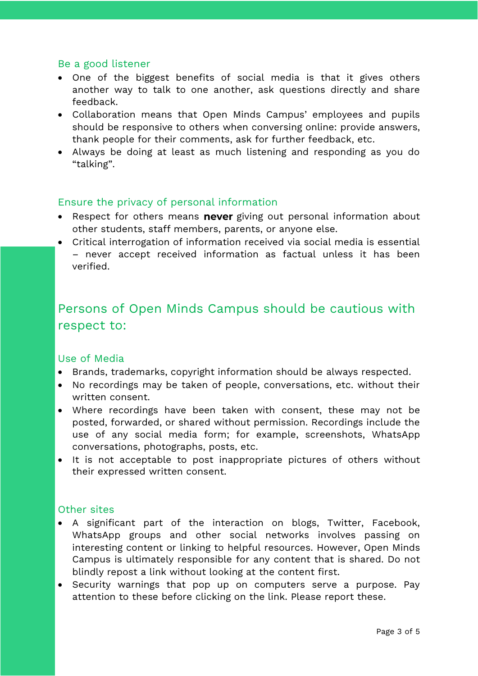#### <span id="page-2-0"></span>Be a good listener

- One of the biggest benefits of social media is that it gives others another way to talk to one another, ask questions directly and share feedback.
- Collaboration means that Open Minds Campus' employees and pupils should be responsive to others when conversing online: provide answers, thank people for their comments, ask for further feedback, etc.
- Always be doing at least as much listening and responding as you do "talking".

#### <span id="page-2-1"></span>Ensure the privacy of personal information

- Respect for others means never giving out personal information about other students, staff members, parents, or anyone else.
- Critical interrogation of information received via social media is essential – never accept received information as factual unless it has been verified.

## <span id="page-2-2"></span>Persons of Open Minds Campus should be cautious with respect to:

#### <span id="page-2-3"></span>Use of Media

- Brands, trademarks, copyright information should be always respected.
- No recordings may be taken of people, conversations, etc. without their written consent.
- Where recordings have been taken with consent, these may not be posted, forwarded, or shared without permission. Recordings include the use of any social media form; for example, screenshots, WhatsApp conversations, photographs, posts, etc.
- It is not acceptable to post inappropriate pictures of others without their expressed written consent.

#### <span id="page-2-4"></span>Other sites

- A significant part of the interaction on blogs, Twitter, Facebook, WhatsApp groups and other social networks involves passing on interesting content or linking to helpful resources. However, Open Minds Campus is ultimately responsible for any content that is shared. Do not blindly repost a link without looking at the content first.
- Security warnings that pop up on computers serve a purpose. Pay attention to these before clicking on the link. Please report these.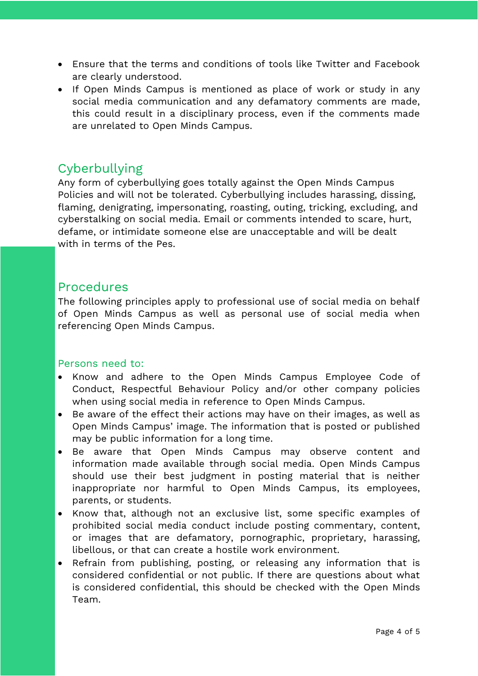- Ensure that the terms and conditions of tools like Twitter and Facebook are clearly understood.
- If Open Minds Campus is mentioned as place of work or study in any social media communication and any defamatory comments are made, this could result in a disciplinary process, even if the comments made are unrelated to Open Minds Campus.

### <span id="page-3-0"></span>Cyberbullying

Any form of cyberbullying goes totally against the Open Minds Campus Policies and will not be tolerated. Cyberbullying includes harassing, dissing, flaming, denigrating, impersonating, roasting, outing, tricking, excluding, and cyberstalking on social media. Email or comments intended to scare, hurt, defame, or intimidate someone else are unacceptable and will be dealt with in terms of the Pes.

#### <span id="page-3-1"></span>Procedures

The following principles apply to professional use of social media on behalf of Open Minds Campus as well as personal use of social media when referencing Open Minds Campus.

#### <span id="page-3-2"></span>Persons need to:

- Know and adhere to the Open Minds Campus Employee Code of Conduct, Respectful Behaviour Policy and/or other company policies when using social media in reference to Open Minds Campus.
- Be aware of the effect their actions may have on their images, as well as Open Minds Campus' image. The information that is posted or published may be public information for a long time.
- Be aware that Open Minds Campus may observe content and information made available through social media. Open Minds Campus should use their best judgment in posting material that is neither inappropriate nor harmful to Open Minds Campus, its employees, parents, or students.
- Know that, although not an exclusive list, some specific examples of prohibited social media conduct include posting commentary, content, or images that are defamatory, pornographic, proprietary, harassing, libellous, or that can create a hostile work environment.
- Refrain from publishing, posting, or releasing any information that is considered confidential or not public. If there are questions about what is considered confidential, this should be checked with the Open Minds Team.